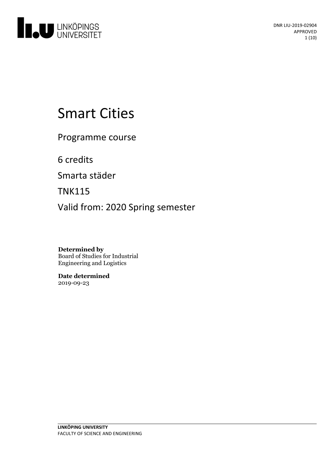

# Smart Cities

Programme course

6 credits

Smarta städer

TNK115

Valid from: 2020 Spring semester

**Determined by** Board of Studies for Industrial Engineering and Logistics

**Date determined** 2019-09-23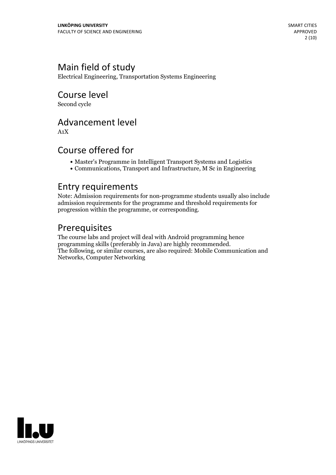# Main field of study

Electrical Engineering, Transportation Systems Engineering

Course level Second cycle

Advancement level

A1X

### Course offered for

- Master's Programme in Intelligent Transport Systems and Logistics
- Communications, Transport and Infrastructure, M Sc in Engineering

### Entry requirements

Note: Admission requirements for non-programme students usually also include admission requirements for the programme and threshold requirements for progression within the programme, or corresponding.

### Prerequisites

The course labs and project will deal with Android programming hence programming skills (preferably in Java) are highly recommended. The following, or similar courses, are also required: Mobile Communication and Networks, Computer Networking

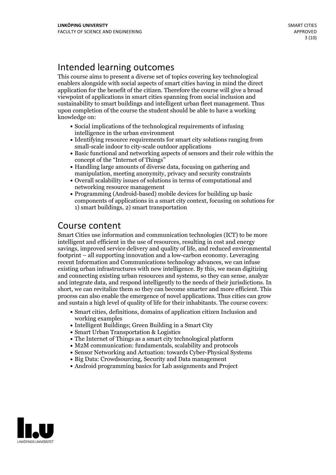# Intended learning outcomes

This course aims to present a diverse set of topics covering key technological enablers alongside with social aspects of smart cities having in mind the direct application for the benefit of the citizen. Therefore the course will give a broad viewpoint of applications in smart cities spanning from social inclusion and sustainability to smart buildings and intelligent urban fleet management. Thus upon completion of the course the student should be able to have a working knowledge on:

- Social implications of the technological requirements of infusing intelligence in the urban environment
- Identifying resource requirements for smart city solutions ranging from small-scale indoor to city-scale outdoor applications
- Basic functional and networking aspects of sensors and their role within the
- concept of the "Internet of Things"<br>• Handling large amounts of diverse data, focusing on gathering and manipulation, meeting anonymity, privacy and security constraints
- Overall scalability issues of solutions in terms of computational and networking resource management
- Programming (Android-based) mobile devices for building up basic components of applications in a smart city context, focusing on solutions for 1) smart buildings, 2) smart transportation

## Course content

Smart Cities use information and communication technologies (ICT) to be more intelligent and efficient in the use of resources, resulting in cost and energy savings, improved service delivery and quality of life, and reduced environmental footprint – all supporting innovation and a low-carbon economy. Leveraging recent Information and Communications technology advances, we can infuse existing urban infrastructures with new intelligence. By this, we mean digitizing and connecting existing urban resources and systems, so they can sense, analyze and integrate data, and respond intelligently to the needs of their jurisdictions. In short, we can revitalize them so they can become smarter and more efficient. This process can also enable the emergence ofnovel applications. Thus cities can grow and sustain a high level of quality of life for their inhabitants. The course covers:

- Smart cities, definitions, domains of application citizen Inclusion and working examples
- Intelligent Buildings; Green Building in a Smart City
- Smart Urban Transportation & Logistics
- The Internet of Things as a smart city technological platform
- M2M communication: fundamentals, scalability and protocols
- Sensor Networking and Actuation: towards Cyber-Physical Systems
- Big Data: Crowdsourcing, Security and Data management
- Android programming basics for Lab assignments and Project

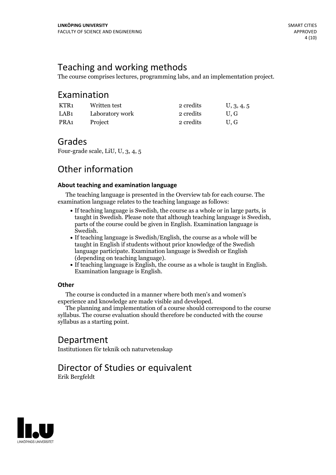## Teaching and working methods

The course comprises lectures, programming labs, and an implementation project.

### Examination

| KTR1 | Written test    | 2 credits | U, 3, 4, 5 |
|------|-----------------|-----------|------------|
| LAB1 | Laboratory work | 2 credits | U.G        |
| PRA1 | Project         | 2 credits | U.G        |

### Grades

Four-grade scale, LiU, U, 3, 4, 5

### Other information

#### **About teaching and examination language**

The teaching language is presented in the Overview tab for each course. The examination language relates to the teaching language as follows:

- If teaching language is Swedish, the course as a whole or in large parts, is taught in Swedish. Please note that although teaching language is Swedish, parts of the course could be given in English. Examination language is
- Swedish.<br>• If teaching language is Swedish/English, the course as a whole will be taught in English if students without prior knowledge of the Swedish language participate. Examination language is Swedish or English
- (depending on teaching language).<br>• If teaching language is English, the course as a whole is taught in English.<br>Examination language is English.

#### **Other**

The course is conducted in a manner where both men's and women's

The planning and implementation of a course should correspond to the course syllabus. The course evaluation should therefore be conducted with the course syllabus as a starting point.

### Department

Institutionen för teknik och naturvetenskap

# Director of Studies or equivalent

Erik Bergfeldt

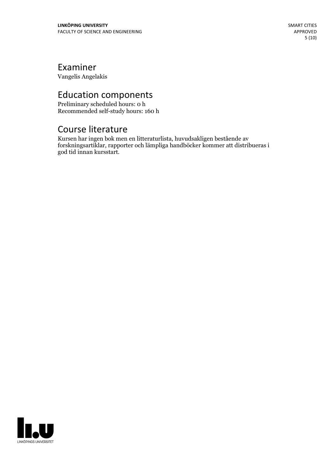### Examiner

Vangelis Angelakis

# Education components

Preliminary scheduled hours: 0 h Recommended self-study hours: 160 h

### Course literature

Kursen har ingen bok men en litteraturlista, huvudsakligen bestående av forskningsartiklar, rapporter och lämpliga handböcker kommer att distribueras i god tid innan kursstart.

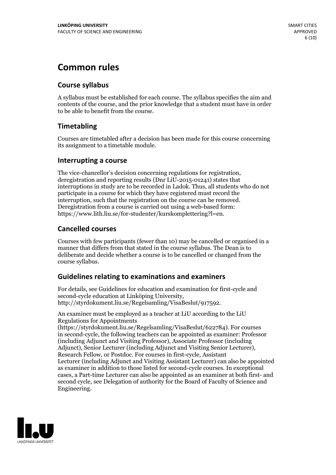# **Common rules**

### **Course syllabus**

A syllabus must be established for each course. The syllabus specifies the aim and contents of the course, and the prior knowledge that a student must have in order to be able to benefit from the course.

### **Timetabling**

Courses are timetabled after a decision has been made for this course concerning its assignment to a timetable module.

#### **Interrupting a course**

The vice-chancellor's decision concerning regulations for registration, deregistration and reporting results (Dnr LiU-2015-01241) states that interruptions in study are to be recorded in Ladok. Thus, all students who do not participate in a course for which they have registered must record the interruption, such that the registration on the course can be removed. Deregistration from <sup>a</sup> course is carried outusing <sup>a</sup> web-based form: https://www.lith.liu.se/for-studenter/kurskomplettering?l=en.

### **Cancelled courses**

Courses with few participants (fewer than 10) may be cancelled or organised in a manner that differs from that stated in the course syllabus. The Dean is to deliberate and decide whether a course is to be cancelled or changed from the course syllabus.

### **Guidelines relatingto examinations and examiners**

For details, see Guidelines for education and examination for first-cycle and second-cycle education at Linköping University, http://styrdokument.liu.se/Regelsamling/VisaBeslut/917592.

An examiner must be employed as a teacher at LiU according to the LiU Regulations for Appointments

(https://styrdokument.liu.se/Regelsamling/VisaBeslut/622784). For courses in second-cycle, the following teachers can be appointed as examiner: Professor (including Adjunct and Visiting Professor), Associate Professor (including Adjunct), Senior Lecturer (including Adjunct and Visiting Senior Lecturer), Research Fellow, or Postdoc. For courses in first-cycle, Assistant Lecturer (including Adjunct and Visiting Assistant Lecturer) can also be appointed as examiner in addition to those listed for second-cycle courses. In exceptional cases, a Part-time Lecturer can also be appointed as an examiner at both first- and second cycle, see Delegation of authority for the Board of Faculty of Science and Engineering.

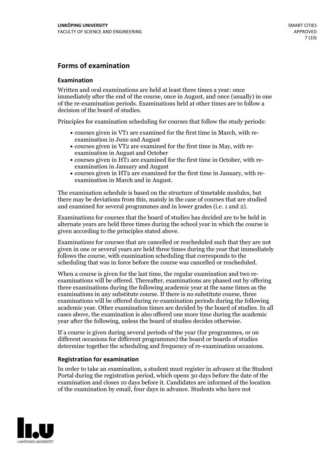### **Forms of examination**

#### **Examination**

Written and oral examinations are held at least three times a year: once immediately after the end of the course, once in August, and once (usually) in one of the re-examination periods. Examinations held at other times are to follow a decision of the board of studies.

Principles for examination scheduling for courses that follow the study periods:

- courses given in VT1 are examined for the first time in March, with re-examination in June and August
- courses given in VT2 are examined for the first time in May, with re-examination in August and October
- courses given in HT1 are examined for the first time in October, with re-examination in January and August
- courses given in HT2 are examined for the first time in January, with re-examination in March and in August.

The examination schedule is based on the structure of timetable modules, but there may be deviations from this, mainly in the case of courses that are studied and examined for several programmes and in lower grades (i.e. 1 and 2).

Examinations for courses that the board of studies has decided are to be held in alternate years are held three times during the school year in which the course is given according to the principles stated above.

Examinations for courses that are cancelled orrescheduled such that they are not given in one or several years are held three times during the year that immediately follows the course, with examination scheduling that corresponds to the scheduling that was in force before the course was cancelled or rescheduled.

When a course is given for the last time, the regular examination and two re-<br>examinations will be offered. Thereafter, examinations are phased out by offering three examinations during the following academic year at the same times as the examinations in any substitute course. If there is no substitute course, three examinations will be offered during re-examination periods during the following academic year. Other examination times are decided by the board of studies. In all cases above, the examination is also offered one more time during the academic year after the following, unless the board of studies decides otherwise.

If a course is given during several periods of the year (for programmes, or on different occasions for different programmes) the board or boards of studies determine together the scheduling and frequency of re-examination occasions.

#### **Registration for examination**

In order to take an examination, a student must register in advance at the Student Portal during the registration period, which opens 30 days before the date of the examination and closes 10 days before it. Candidates are informed of the location of the examination by email, four days in advance. Students who have not

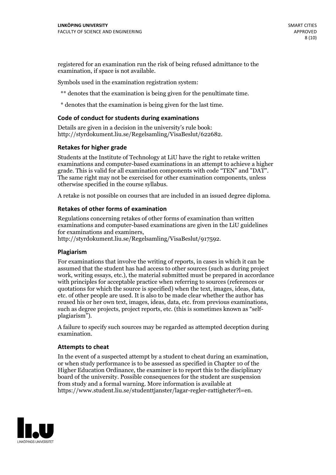registered for an examination run the risk of being refused admittance to the examination, if space is not available.

Symbols used in the examination registration system:

\*\* denotes that the examination is being given for the penultimate time.

\* denotes that the examination is being given for the last time.

#### **Code of conduct for students during examinations**

Details are given in a decision in the university's rule book: http://styrdokument.liu.se/Regelsamling/VisaBeslut/622682.

#### **Retakes for higher grade**

Students at the Institute of Technology at LiU have the right to retake written examinations and computer-based examinations in an attempt to achieve a higher grade. This is valid for all examination components with code "TEN" and "DAT". The same right may not be exercised for other examination components, unless otherwise specified in the course syllabus.

A retake is not possible on courses that are included in an issued degree diploma.

#### **Retakes of other forms of examination**

Regulations concerning retakes of other forms of examination than written examinations and computer-based examinations are given in the LiU guidelines

http://styrdokument.liu.se/Regelsamling/VisaBeslut/917592.

#### **Plagiarism**

For examinations that involve the writing of reports, in cases in which it can be assumed that the student has had access to other sources (such as during project work, writing essays, etc.), the material submitted must be prepared in accordance with principles for acceptable practice when referring to sources (references or quotations for which the source is specified) when the text, images, ideas, data,  $\vec{e}$  etc. of other people are used. It is also to be made clear whether the author has reused his or her own text, images, ideas, data, etc. from previous examinations, such as degree projects, project reports, etc. (this is sometimes known as "self- plagiarism").

A failure to specify such sources may be regarded as attempted deception during examination.

#### **Attempts to cheat**

In the event of <sup>a</sup> suspected attempt by <sup>a</sup> student to cheat during an examination, or when study performance is to be assessed as specified in Chapter <sup>10</sup> of the Higher Education Ordinance, the examiner is to report this to the disciplinary board of the university. Possible consequences for the student are suspension from study and a formal warning. More information is available at https://www.student.liu.se/studenttjanster/lagar-regler-rattigheter?l=en.

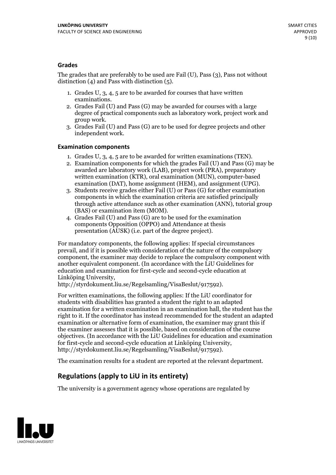#### **Grades**

The grades that are preferably to be used are Fail (U), Pass (3), Pass not without distinction  $(4)$  and Pass with distinction  $(5)$ .

- 1. Grades U, 3, 4, 5 are to be awarded for courses that have written
- examinations. 2. Grades Fail (U) and Pass (G) may be awarded for courses with <sup>a</sup> large degree of practical components such as laboratory work, project work and group work. 3. Grades Fail (U) and Pass (G) are to be used for degree projects and other
- independent work.

#### **Examination components**

- 
- 1. Grades U, 3, 4, <sup>5</sup> are to be awarded for written examinations (TEN). 2. Examination components for which the grades Fail (U) and Pass (G) may be awarded are laboratory work (LAB), project work (PRA), preparatory written examination (KTR), oral examination (MUN), computer-based
- examination (DAT), home assignment (HEM), and assignment (UPG). 3. Students receive grades either Fail (U) or Pass (G) for other examination components in which the examination criteria are satisfied principally through active attendance such as other examination (ANN), tutorial group
- (BAS) or examination item (MOM). 4. Grades Fail (U) and Pass (G) are to be used for the examination components Opposition (OPPO) and Attendance at thesis presentation (AUSK) (i.e. part of the degree project).

For mandatory components, the following applies: If special circumstances prevail, and if it is possible with consideration of the nature of the compulsory component, the examiner may decide to replace the compulsory component with another equivalent component. (In accordance with the LiU Guidelines for education and examination for first-cycle and second-cycle education at Linköping University, http://styrdokument.liu.se/Regelsamling/VisaBeslut/917592).

For written examinations, the following applies: If the LiU coordinator for students with disabilities has granted a student the right to an adapted examination for a written examination in an examination hall, the student has the right to it. If the coordinator has instead recommended for the student an adapted examination or alternative form of examination, the examiner may grant this if the examiner assesses that it is possible, based on consideration of the course objectives. (In accordance with the LiU Guidelines for education and examination for first-cycle and second-cycle education at Linköping University, http://styrdokument.liu.se/Regelsamling/VisaBeslut/917592).

The examination results for a student are reported at the relevant department.

### **Regulations (applyto LiU in its entirety)**

The university is a government agency whose operations are regulated by